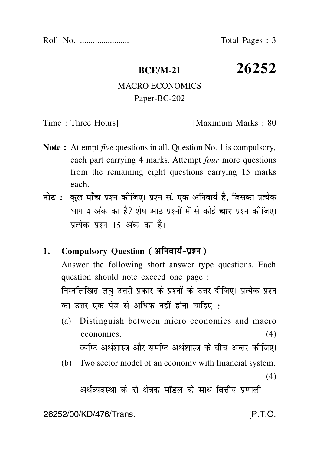Roll No. ....................... Total Pages : 3

**BCE/M-21 26252**

## MACRO ECONOMICS Paper-BC-202

Time : Three Hours] [Maximum Marks : 80]

- **Note :** Attempt *five* questions in all. Question No. 1 is compulsory, each part carrying 4 marks. Attempt *four* more questions from the remaining eight questions carrying 15 marks each.
- नोट : कुल पाँच प्रश्न कीजिए। प्रश्न सं. एक अनिवार्य है, जिसका प्रत्येक भाग 4 अंक का है? शेष आठ प्रश्नों में से कोई **चार** प्रश्न कीजिए। पत्येक पश्न 15 अंक का है।

## **1. Compulsory Question**

Answer the following short answer type questions. Each question should note exceed one page : निम्नलिखित लघु उत्तरी प्रकार के प्रश्नों के उत्तर दीजिए। प्रत्येक प्रश्न का उत्तर एक पेज से अधिक नहीं होना चाहिए :

- (a) Distinguish between micro economics and macro economics. (4) व्यष्टि अर्थशास्त्र और समष्टि अर्थशास्त्र के बीच अन्तर कीजिए।
- (b) Two sector model of an economy with financial system.  $(4)$

अर्थव्यवस्था के दो क्षेत्रक मॉडल के साथ वित्तीय प्रणाली।

26252/00/KD/476/Trans. [P.T.O.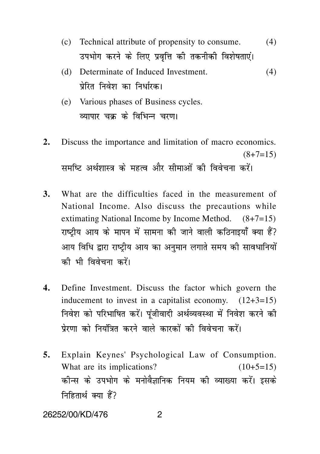- (c) Technical attribute of propensity to consume. (4) उपभोग करने के लिए प्रवृत्ति की तकनीकी विशेषताएं।
- (d) Determinate of Induced Investment. (4) पेरित निवेश का निर्धारक।
- (e) Various phases of Business cycles. व्यापार चक के विभिन्न चरण।
- **2.** Discuss the importance and limitation of macro economics.  $(8+7=15)$ समष्टि अर्थशास्त्र के महत्व और सीमाओं की विवेचना करें।
- **3.** What are the difficulties faced in the measurement of National Income. Also discuss the precautions while extimating National Income by Income Method. (8+7=15) राष्ट्रीय आय के मापन में सामना की जाने वाली कठिनाइयाँ क्या हैं? आय विधि द्वारा राष्टीय आय का अनमान लगाते समय की सावधानियों को भी विवेचना करें।
- **4.** Define Investment. Discuss the factor which govern the inducement to invest in a capitalist economy.  $(12+3=15)$ निवेश को परिभाषित करें। पंजीवादी अर्थव्यवस्था में निवेश करने की पेरणा को नियंत्रित करने वाले कारकों की विवेचना करें।
- **5.** Explain Keynes' Psychological Law of Consumption. What are its implications?  $(10+5=15)$ कीन्स के उपभोग के मनोवैज्ञानिक नियम की व्याख्या करें। इसके निहितार्थ क्या हैं?

26252/00/KD/476 2